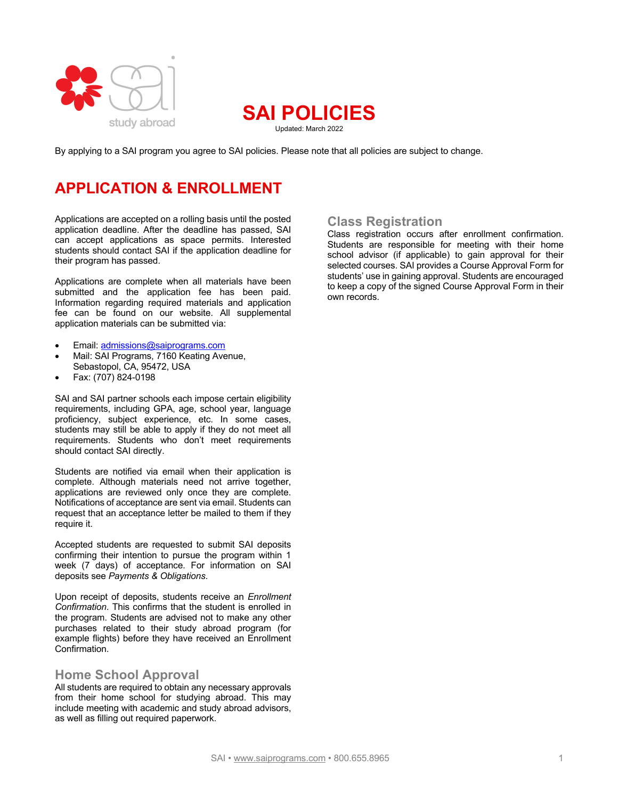



By applying to a SAI program you agree to SAI policies. Please note that all policies are subject to change.

# **APPLICATION & ENROLLMENT**

Applications are accepted on a rolling basis until the posted application deadline. After the deadline has passed, SAI can accept applications as space permits. Interested students should contact SAI if the application deadline for their program has passed.

Applications are complete when all materials have been submitted and the application fee has been paid. Information regarding required materials and application fee can be found on our website. All supplemental application materials can be submitted via:

- Email: admissions@saiprograms.com
- Mail: SAI Programs, 7160 Keating Avenue, Sebastopol, CA, 95472, USA
- Fax: (707) 824-0198

SAI and SAI partner schools each impose certain eligibility requirements, including GPA, age, school year, language proficiency, subject experience, etc. In some cases, students may still be able to apply if they do not meet all requirements. Students who don't meet requirements should contact SAI directly.

Students are notified via email when their application is complete. Although materials need not arrive together, applications are reviewed only once they are complete. Notifications of acceptance are sent via email. Students can request that an acceptance letter be mailed to them if they require it.

Accepted students are requested to submit SAI deposits confirming their intention to pursue the program within 1 week (7 days) of acceptance. For information on SAI deposits see *Payments & Obligations*.

Upon receipt of deposits, students receive an *Enrollment Confirmation*. This confirms that the student is enrolled in the program. Students are advised not to make any other purchases related to their study abroad program (for example flights) before they have received an Enrollment Confirmation.

## **Home School Approval**

All students are required to obtain any necessary approvals from their home school for studying abroad. This may include meeting with academic and study abroad advisors, as well as filling out required paperwork.

## **Class Registration**

Class registration occurs after enrollment confirmation. Students are responsible for meeting with their home school advisor (if applicable) to gain approval for their selected courses. SAI provides a Course Approval Form for students' use in gaining approval. Students are encouraged to keep a copy of the signed Course Approval Form in their own records.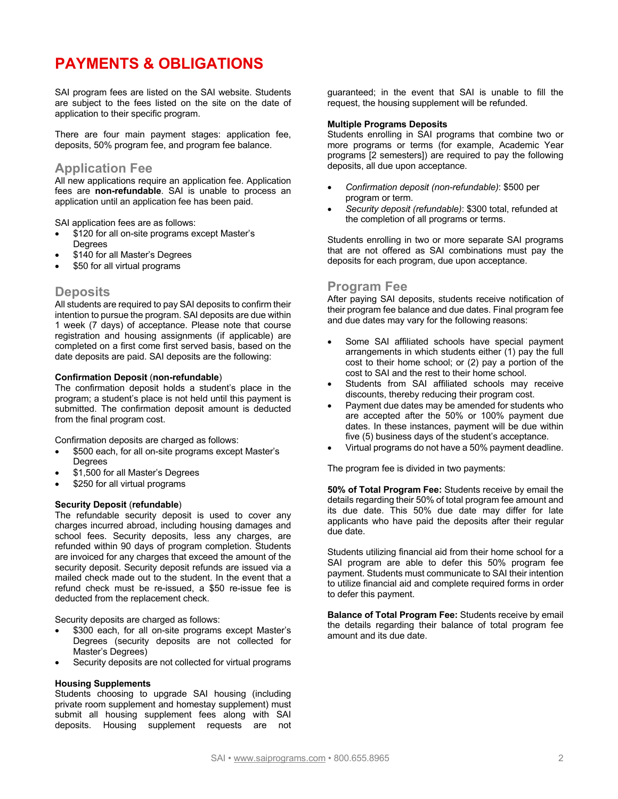# **PAYMENTS & OBLIGATIONS**

SAI program fees are listed on the SAI website. Students are subject to the fees listed on the site on the date of application to their specific program.

There are four main payment stages: application fee, deposits, 50% program fee, and program fee balance.

## **Application Fee**

All new applications require an application fee. Application fees are **non-refundable**. SAI is unable to process an application until an application fee has been paid.

SAI application fees are as follows:

- \$120 for all on-site programs except Master's Degrees
- \$140 for all Master's Degrees
- \$50 for all virtual programs

## **Deposits**

All students are required to pay SAI deposits to confirm their intention to pursue the program. SAI deposits are due within 1 week (7 days) of acceptance. Please note that course registration and housing assignments (if applicable) are completed on a first come first served basis, based on the date deposits are paid. SAI deposits are the following:

#### **Confirmation Deposit** (**non-refundable**)

The confirmation deposit holds a student's place in the program; a student's place is not held until this payment is submitted. The confirmation deposit amount is deducted from the final program cost.

Confirmation deposits are charged as follows:

- \$500 each, for all on-site programs except Master's **Degrees**
- \$1,500 for all Master's Degrees
- \$250 for all virtual programs

#### **Security Deposit** (**refundable**)

The refundable security deposit is used to cover any charges incurred abroad, including housing damages and school fees. Security deposits, less any charges, are refunded within 90 days of program completion. Students are invoiced for any charges that exceed the amount of the security deposit. Security deposit refunds are issued via a mailed check made out to the student. In the event that a refund check must be re-issued, a \$50 re-issue fee is deducted from the replacement check.

Security deposits are charged as follows:

- \$300 each, for all on-site programs except Master's Degrees (security deposits are not collected for Master's Degrees)
- Security deposits are not collected for virtual programs

### **Housing Supplements**

Students choosing to upgrade SAI housing (including private room supplement and homestay supplement) must submit all housing supplement fees along with SAI deposits. Housing supplement requests are not

guaranteed; in the event that SAI is unable to fill the request, the housing supplement will be refunded.

#### **Multiple Programs Deposits**

Students enrolling in SAI programs that combine two or more programs or terms (for example, Academic Year programs [2 semesters]) are required to pay the following deposits, all due upon acceptance.

- *Confirmation deposit (non-refundable)*: \$500 per program or term.
- *Security deposit (refundable)*: \$300 total, refunded at the completion of all programs or terms.

Students enrolling in two or more separate SAI programs that are not offered as SAI combinations must pay the deposits for each program, due upon acceptance.

## **Program Fee**

After paying SAI deposits, students receive notification of their program fee balance and due dates. Final program fee and due dates may vary for the following reasons:

- Some SAI affiliated schools have special payment arrangements in which students either (1) pay the full cost to their home school; or (2) pay a portion of the cost to SAI and the rest to their home school.
- Students from SAI affiliated schools may receive discounts, thereby reducing their program cost.
- Payment due dates may be amended for students who are accepted after the 50% or 100% payment due dates. In these instances, payment will be due within five (5) business days of the student's acceptance.
- Virtual programs do not have a 50% payment deadline.

The program fee is divided in two payments:

**50% of Total Program Fee:** Students receive by email the details regarding their 50% of total program fee amount and its due date. This 50% due date may differ for late applicants who have paid the deposits after their regular due date.

Students utilizing financial aid from their home school for a SAI program are able to defer this 50% program fee payment. Students must communicate to SAI their intention to utilize financial aid and complete required forms in order to defer this payment.

**Balance of Total Program Fee:** Students receive by email the details regarding their balance of total program fee amount and its due date.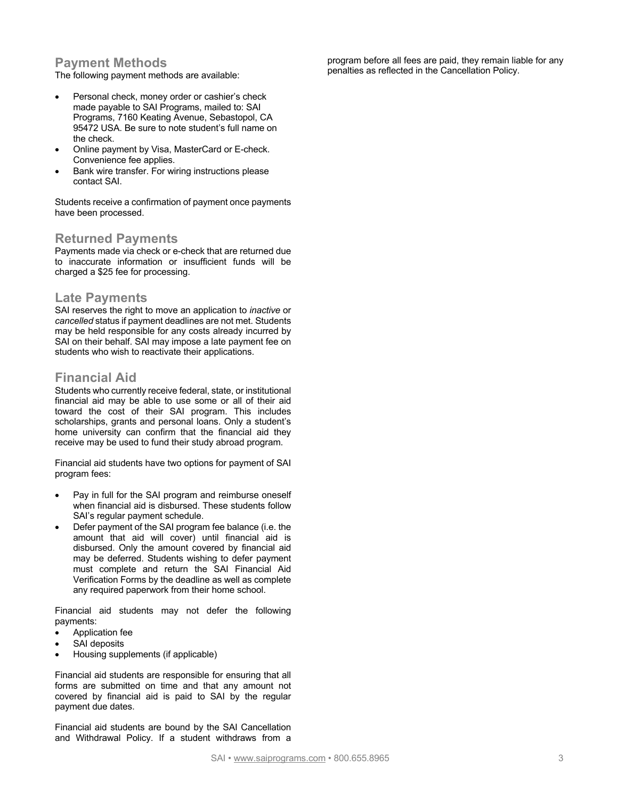# **Payment Methods**

The following payment methods are available:

- Personal check, money order or cashier's check made payable to SAI Programs, mailed to: SAI Programs, 7160 Keating Avenue, Sebastopol, CA 95472 USA. Be sure to note student's full name on the check.
- Online payment by Visa, MasterCard or E-check. Convenience fee applies.
- Bank wire transfer. For wiring instructions please contact SAI.

Students receive a confirmation of payment once payments have been processed.

## **Returned Payments**

Payments made via check or e-check that are returned due to inaccurate information or insufficient funds will be charged a \$25 fee for processing.

### **Late Payments**

SAI reserves the right to move an application to *inactive* or *cancelled* status if payment deadlines are not met. Students may be held responsible for any costs already incurred by SAI on their behalf. SAI may impose a late payment fee on students who wish to reactivate their applications.

# **Financial Aid**

Students who currently receive federal, state, or institutional financial aid may be able to use some or all of their aid toward the cost of their SAI program. This includes scholarships, grants and personal loans. Only a student's home university can confirm that the financial aid they receive may be used to fund their study abroad program.

Financial aid students have two options for payment of SAI program fees:

- Pay in full for the SAI program and reimburse oneself when financial aid is disbursed. These students follow SAI's regular payment schedule.
- Defer payment of the SAI program fee balance (i.e. the amount that aid will cover) until financial aid is disbursed. Only the amount covered by financial aid may be deferred. Students wishing to defer payment must complete and return the SAI Financial Aid Verification Forms by the deadline as well as complete any required paperwork from their home school.

Financial aid students may not defer the following payments:

- Application fee
- SAI deposits
- Housing supplements (if applicable)

Financial aid students are responsible for ensuring that all forms are submitted on time and that any amount not covered by financial aid is paid to SAI by the regular payment due dates.

Financial aid students are bound by the SAI Cancellation and Withdrawal Policy. If a student withdraws from a

program before all fees are paid, they remain liable for any penalties as reflected in the Cancellation Policy.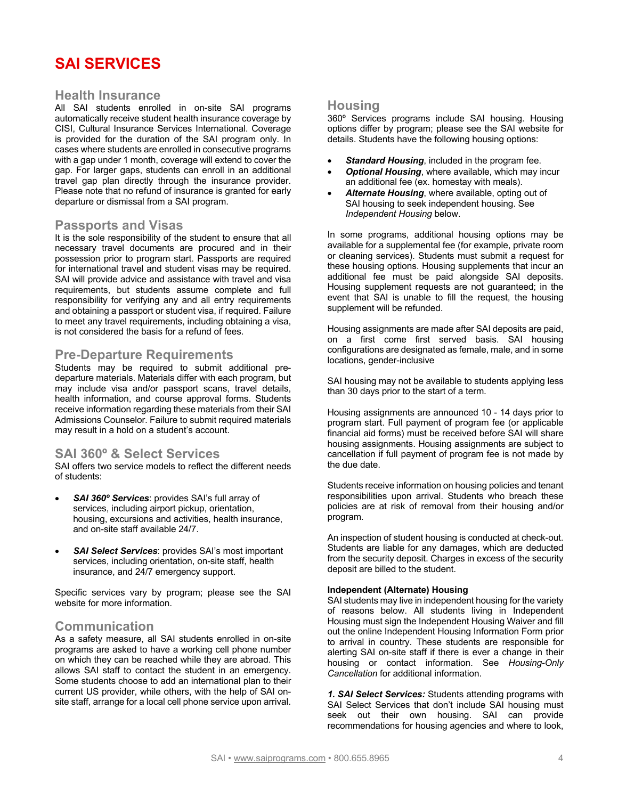# **SAI SERVICES**

## **Health Insurance**

All SAI students enrolled in on-site SAI programs automatically receive student health insurance coverage by CISI, Cultural Insurance Services International. Coverage is provided for the duration of the SAI program only. In cases where students are enrolled in consecutive programs with a gap under 1 month, coverage will extend to cover the gap. For larger gaps, students can enroll in an additional travel gap plan directly through the insurance provider. Please note that no refund of insurance is granted for early departure or dismissal from a SAI program.

### **Passports and Visas**

It is the sole responsibility of the student to ensure that all necessary travel documents are procured and in their possession prior to program start. Passports are required for international travel and student visas may be required. SAI will provide advice and assistance with travel and visa requirements, but students assume complete and full responsibility for verifying any and all entry requirements and obtaining a passport or student visa, if required. Failure to meet any travel requirements, including obtaining a visa, is not considered the basis for a refund of fees.

## **Pre-Departure Requirements**

Students may be required to submit additional predeparture materials. Materials differ with each program, but may include visa and/or passport scans, travel details, health information, and course approval forms. Students receive information regarding these materials from their SAI Admissions Counselor. Failure to submit required materials may result in a hold on a student's account.

## **SAI 360º & Select Services**

SAI offers two service models to reflect the different needs of students:

- *SAI 360º Services*: provides SAI's full array of services, including airport pickup, orientation, housing, excursions and activities, health insurance, and on-site staff available 24/7.
- *SAI Select Services*: provides SAI's most important services, including orientation, on-site staff, health insurance, and 24/7 emergency support.

Specific services vary by program; please see the SAI website for more information.

## **Communication**

As a safety measure, all SAI students enrolled in on-site programs are asked to have a working cell phone number on which they can be reached while they are abroad. This allows SAI staff to contact the student in an emergency. Some students choose to add an international plan to their current US provider, while others, with the help of SAI onsite staff, arrange for a local cell phone service upon arrival.

### **Housing**

360º Services programs include SAI housing. Housing options differ by program; please see the SAI website for details. Students have the following housing options:

- **Standard Housing, included in the program fee.**
- *Optional Housing*, where available, which may incur an additional fee (ex. homestay with meals).
- *Alternate Housing*, where available, opting out of SAI housing to seek independent housing. See *Independent Housing* below.

In some programs, additional housing options may be available for a supplemental fee (for example, private room or cleaning services). Students must submit a request for these housing options. Housing supplements that incur an additional fee must be paid alongside SAI deposits. Housing supplement requests are not guaranteed; in the event that SAI is unable to fill the request, the housing supplement will be refunded.

Housing assignments are made after SAI deposits are paid, on a first come first served basis. SAI housing configurations are designated as female, male, and in some locations, gender-inclusive

SAI housing may not be available to students applying less than 30 days prior to the start of a term.

Housing assignments are announced 10 - 14 days prior to program start. Full payment of program fee (or applicable financial aid forms) must be received before SAI will share housing assignments. Housing assignments are subject to cancellation if full payment of program fee is not made by the due date.

Students receive information on housing policies and tenant responsibilities upon arrival. Students who breach these policies are at risk of removal from their housing and/or program.

An inspection of student housing is conducted at check-out. Students are liable for any damages, which are deducted from the security deposit. Charges in excess of the security deposit are billed to the student.

#### **Independent (Alternate) Housing**

SAI students may live in independent housing for the variety of reasons below. All students living in Independent Housing must sign the Independent Housing Waiver and fill out the online Independent Housing Information Form prior to arrival in country. These students are responsible for alerting SAI on-site staff if there is ever a change in their housing or contact information. See *Housing-Only Cancellation* for additional information.

*1. SAI Select Services:* Students attending programs with SAI Select Services that don't include SAI housing must seek out their own housing. SAI can provide recommendations for housing agencies and where to look,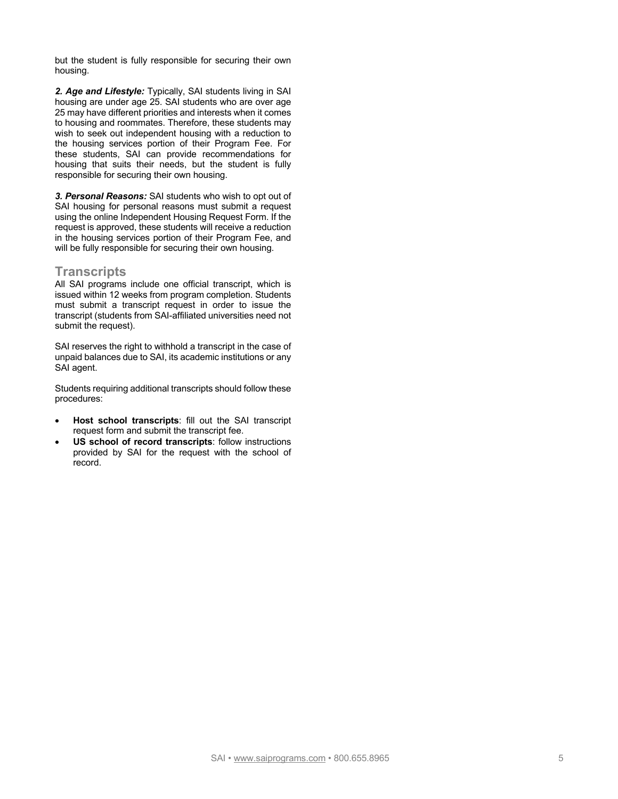but the student is fully responsible for securing their own housing.

*2. Age and Lifestyle:* Typically, SAI students living in SAI housing are under age 25. SAI students who are over age 25 may have different priorities and interests when it comes to housing and roommates. Therefore, these students may wish to seek out independent housing with a reduction to the housing services portion of their Program Fee. For these students, SAI can provide recommendations for housing that suits their needs, but the student is fully responsible for securing their own housing.

*3. Personal Reasons:* SAI students who wish to opt out of SAI housing for personal reasons must submit a request using the online Independent Housing Request Form. If the request is approved, these students will receive a reduction in the housing services portion of their Program Fee, and will be fully responsible for securing their own housing.

## **Transcripts**

All SAI programs include one official transcript, which is issued within 12 weeks from program completion. Students must submit a transcript request in order to issue the transcript (students from SAI-affiliated universities need not submit the request).

SAI reserves the right to withhold a transcript in the case of unpaid balances due to SAI, its academic institutions or any SAI agent.

Students requiring additional transcripts should follow these procedures:

- **Host school transcripts**: fill out the SAI transcript request form and submit the transcript fee.
- **US school of record transcripts:** follow instructions provided by SAI for the request with the school of record.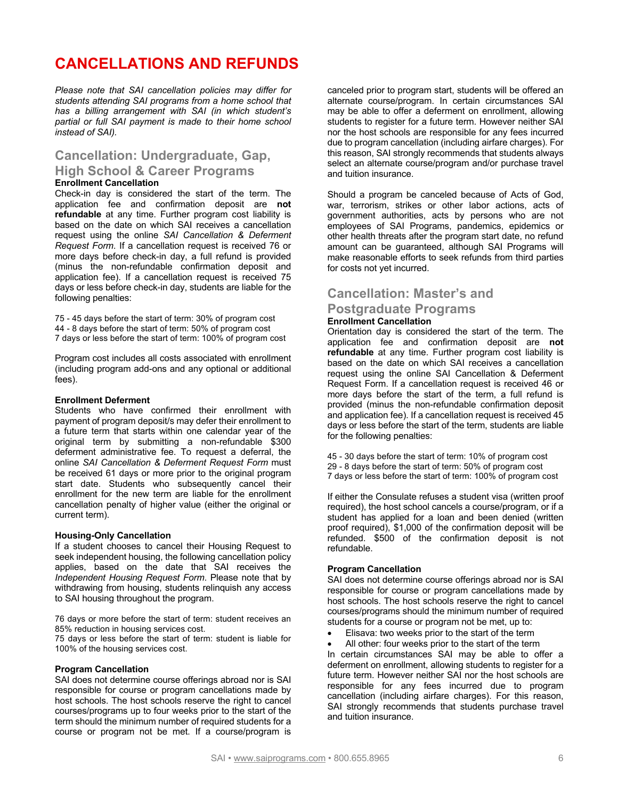# **CANCELLATIONS AND REFUNDS**

*Please note that SAI cancellation policies may differ for students attending SAI programs from a home school that has a billing arrangement with SAI (in which student's partial or full SAI payment is made to their home school instead of SAI).* 

## **Cancellation: Undergraduate, Gap, High School & Career Programs Enrollment Cancellation**

Check-in day is considered the start of the term. The application fee and confirmation deposit are **not refundable** at any time. Further program cost liability is based on the date on which SAI receives a cancellation request using the online *SAI Cancellation & Deferment Request Form*. If a cancellation request is received 76 or more days before check-in day, a full refund is provided (minus the non-refundable confirmation deposit and application fee). If a cancellation request is received 75 days or less before check-in day, students are liable for the following penalties:

75 - 45 days before the start of term: 30% of program cost 44 - 8 days before the start of term: 50% of program cost 7 days or less before the start of term: 100% of program cost

Program cost includes all costs associated with enrollment (including program add-ons and any optional or additional fees).

#### **Enrollment Deferment**

Students who have confirmed their enrollment with payment of program deposit/s may defer their enrollment to a future term that starts within one calendar year of the original term by submitting a non-refundable \$300 deferment administrative fee. To request a deferral, the online *SAI Cancellation & Deferment Request Form* must be received 61 days or more prior to the original program start date. Students who subsequently cancel their enrollment for the new term are liable for the enrollment cancellation penalty of higher value (either the original or current term).

#### **Housing-Only Cancellation**

If a student chooses to cancel their Housing Request to seek independent housing, the following cancellation policy applies, based on the date that SAI receives the *Independent Housing Request Form*. Please note that by withdrawing from housing, students relinquish any access to SAI housing throughout the program.

76 days or more before the start of term: student receives an 85% reduction in housing services cost.

75 days or less before the start of term: student is liable for 100% of the housing services cost.

#### **Program Cancellation**

SAI does not determine course offerings abroad nor is SAI responsible for course or program cancellations made by host schools. The host schools reserve the right to cancel courses/programs up to four weeks prior to the start of the term should the minimum number of required students for a course or program not be met. If a course/program is

canceled prior to program start, students will be offered an alternate course/program. In certain circumstances SAI may be able to offer a deferment on enrollment, allowing students to register for a future term. However neither SAI nor the host schools are responsible for any fees incurred due to program cancellation (including airfare charges). For this reason, SAI strongly recommends that students always select an alternate course/program and/or purchase travel and tuition insurance.

Should a program be canceled because of Acts of God, war, terrorism, strikes or other labor actions, acts of government authorities, acts by persons who are not employees of SAI Programs, pandemics, epidemics or other health threats after the program start date, no refund amount can be guaranteed, although SAI Programs will make reasonable efforts to seek refunds from third parties for costs not yet incurred.

## **Cancellation: Master's and**

## **Postgraduate Programs**

### **Enrollment Cancellation**

Orientation day is considered the start of the term. The application fee and confirmation deposit are **not refundable** at any time. Further program cost liability is based on the date on which SAI receives a cancellation request using the online SAI Cancellation & Deferment Request Form. If a cancellation request is received 46 or more days before the start of the term, a full refund is provided (minus the non-refundable confirmation deposit and application fee). If a cancellation request is received 45 days or less before the start of the term, students are liable for the following penalties:

45 - 30 days before the start of term: 10% of program cost 29 - 8 days before the start of term: 50% of program cost 7 days or less before the start of term: 100% of program cost

If either the Consulate refuses a student visa (written proof required), the host school cancels a course/program, or if a student has applied for a loan and been denied (written proof required), \$1,000 of the confirmation deposit will be refunded. \$500 of the confirmation deposit is not refundable.

#### **Program Cancellation**

SAI does not determine course offerings abroad nor is SAI responsible for course or program cancellations made by host schools. The host schools reserve the right to cancel courses/programs should the minimum number of required students for a course or program not be met, up to:

- Elisava: two weeks prior to the start of the term
- All other: four weeks prior to the start of the term

In certain circumstances SAI may be able to offer a deferment on enrollment, allowing students to register for a future term. However neither SAI nor the host schools are responsible for any fees incurred due to program cancellation (including airfare charges). For this reason, SAI strongly recommends that students purchase travel and tuition insurance.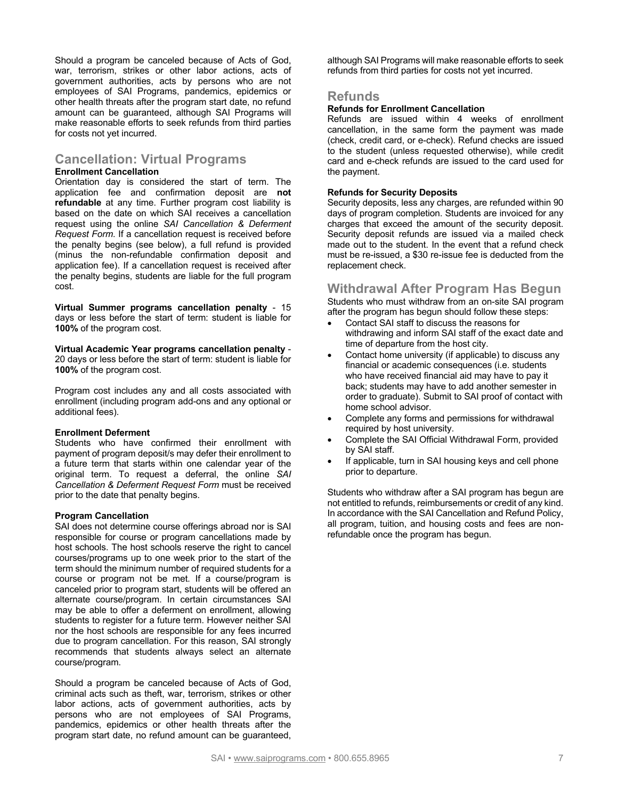Should a program be canceled because of Acts of God, war, terrorism, strikes or other labor actions, acts of government authorities, acts by persons who are not employees of SAI Programs, pandemics, epidemics or other health threats after the program start date, no refund amount can be guaranteed, although SAI Programs will make reasonable efforts to seek refunds from third parties for costs not yet incurred.

# **Cancellation: Virtual Programs**

#### **Enrollment Cancellation**

Orientation day is considered the start of term. The application fee and confirmation deposit are **not refundable** at any time. Further program cost liability is based on the date on which SAI receives a cancellation request using the online *SAI Cancellation & Deferment Request Form*. If a cancellation request is received before the penalty begins (see below), a full refund is provided (minus the non-refundable confirmation deposit and application fee). If a cancellation request is received after the penalty begins, students are liable for the full program cost.

**Virtual Summer programs cancellation penalty** - 15 days or less before the start of term: student is liable for **100%** of the program cost.

**Virtual Academic Year programs cancellation penalty** - 20 days or less before the start of term: student is liable for **100%** of the program cost.

Program cost includes any and all costs associated with enrollment (including program add-ons and any optional or additional fees).

#### **Enrollment Deferment**

Students who have confirmed their enrollment with payment of program deposit/s may defer their enrollment to a future term that starts within one calendar year of the original term. To request a deferral, the online *SAI Cancellation & Deferment Request Form* must be received prior to the date that penalty begins.

#### **Program Cancellation**

SAI does not determine course offerings abroad nor is SAI responsible for course or program cancellations made by host schools. The host schools reserve the right to cancel courses/programs up to one week prior to the start of the term should the minimum number of required students for a course or program not be met. If a course/program is canceled prior to program start, students will be offered an alternate course/program. In certain circumstances SAI may be able to offer a deferment on enrollment, allowing students to register for a future term. However neither SAI nor the host schools are responsible for any fees incurred due to program cancellation. For this reason, SAI strongly recommends that students always select an alternate course/program.

Should a program be canceled because of Acts of God, criminal acts such as theft, war, terrorism, strikes or other labor actions, acts of government authorities, acts by persons who are not employees of SAI Programs, pandemics, epidemics or other health threats after the program start date, no refund amount can be guaranteed,

although SAI Programs will make reasonable efforts to seek refunds from third parties for costs not yet incurred.

## **Refunds**

#### **Refunds for Enrollment Cancellation**

Refunds are issued within 4 weeks of enrollment cancellation, in the same form the payment was made (check, credit card, or e-check). Refund checks are issued to the student (unless requested otherwise), while credit card and e-check refunds are issued to the card used for the payment.

#### **Refunds for Security Deposits**

Security deposits, less any charges, are refunded within 90 days of program completion. Students are invoiced for any charges that exceed the amount of the security deposit. Security deposit refunds are issued via a mailed check made out to the student. In the event that a refund check must be re-issued, a \$30 re-issue fee is deducted from the replacement check.

### **Withdrawal After Program Has Begun**

Students who must withdraw from an on-site SAI program after the program has begun should follow these steps:

- Contact SAI staff to discuss the reasons for withdrawing and inform SAI staff of the exact date and time of departure from the host city.
- Contact home university (if applicable) to discuss any financial or academic consequences (i.e. students who have received financial aid may have to pay it back; students may have to add another semester in order to graduate). Submit to SAI proof of contact with home school advisor.
- Complete any forms and permissions for withdrawal required by host university.
- Complete the SAI Official Withdrawal Form, provided by SAI staff.
- If applicable, turn in SAI housing keys and cell phone prior to departure.

Students who withdraw after a SAI program has begun are not entitled to refunds, reimbursements or credit of any kind. In accordance with the SAI Cancellation and Refund Policy, all program, tuition, and housing costs and fees are nonrefundable once the program has begun.